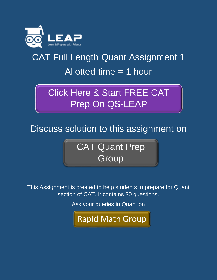

## CAT Full Length Quant Assignment 1 Allotted time = 1 hour

## [Click Here & Start FREE CAT](http://www.qsleap.com/cat/?utm_source=Himanshu&utm_medium=Assignments&utm_campaign=Assignment-2) Prep On QS-LEAP

Discuss solution to this assignment on

[CAT Quant Prep](http://www.qsleap.com/app/group/cat-quant-prep-group?utm_source=Himanshu&utm_medium=Assignments&utm_campaign=Assignment-2)  **Group** 

This Assignment is created to help students to prepare for Quant section of CAT. It contains 30 questions.

Ask your queries in Quant on

[Rapid Math Group](http://www.qsleap.com/app/group/rapid-maths-important-examples)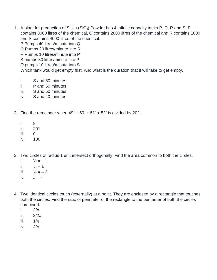1. A plant for production of Silica (SiO<sub>2</sub>) Powder has 4 infinite capacity tanks P, Q, R and S. P contains 3000 litres of the chemical, Q contains 2000 litres of the chemical and R contains 1000 and S contains 4000 litres of the chemical.

P Pumps 40 litres/minute into Q

- Q Pumps 20 litres/minute into R
- R Pumps 10 litres/minute into P
- S pumps 30 litres/minute into P

Q pumps 10 litres/minute into S

Which tank would get empty first. And what is the duration that it will take to get empty.

- *i. S and 60 minutes*
- *ii. P and 60 minutes*
- *iii. S and 50 minutes*
- *iv. S and 40 minutes*

2. Find the remainder when  $49^3 + 50^3 + 51^3 + 52^3$  is divided by 202.

- *i. 8*
- *ii. 201*
- *iii. 0*
- *iv. 100*
- 3. Two circles of radius 1 unit intersect orthogonally. Find the area common to both the circles.
	- *i.*  $\frac{1}{2} \pi 1$
	- *ii.*  $\pi 1$
	- *iii.*  $\frac{1}{2} \pi 2$
	- $iv. \quad \pi 2$
- 4. Two identical circles touch (externally) at a point. They are enclosed by a rectangle that touches both the circles. Find the ratio of perimeter of the rectangle to the perimeter of both the circles combined.
	- *i. 3/π*
	- *ii. 3/2π*
	- *iii. 1/π*
	- *iv. 4/π*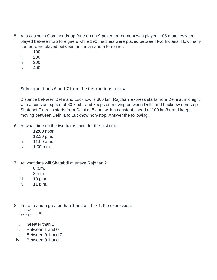- 5. At a casino in Goa, heads-up (one on one) poker tournament was played. 105 matches were played between two foreigners while 190 matches were played between two Indians. How many games were played between an Indian and a foreigner.
	- *i. 100*
	- *ii. 200*
	- *iii. 300*
	- *iv. 400*

Solve questions 6 and 7 from the instructions below.

Distance between Delhi and Lucknow is 600 km. Rajdhani express starts from Delhi at midnight with a constant speed of 60 km/hr and keeps on moving between Delhi and Lucknow non-stop. Shatabdi Express starts from Delhi at 8 a.m. with a constant speed of 100 km/hr and keeps moving between Delhi and Lucknow non-stop. Answer the following:

- 6. At what time do the two trains meet for the first time.
	- *i. 12:00 noon*
	- *ii. 12:30 p.m.*
	- *iii. 11:00 a.m.*
	- *iv. 1:00 p.m.*

## 7. At what time will Shatabdi overtake Rajdhani?

- *i. 6 p.m.*
- *ii. 8 p.m.*
- *iii. 10 p.m.*
- *iv. 11 p.m.*
- 8. For a, b and n greater than 1 and  $a b > 1$ , the expression:  $a^n-b^n$  $\frac{a^{n-p}}{a^{n-1}+b^{n-1}}$  is
	- *i. Greater than 1*
	- *ii. Between 1 and 0*
- *iii. Between 0.1 and 0*
- *iv. Between 0.1 and 1*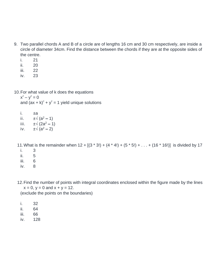- 9. Two parallel chords A and B of a circle are of lengths 16 cm and 30 cm respectively, are inside a circle of diameter 34cm. Find the distance between the chords if they are at the opposite sides of the centre.
	- *i. 21*
	- *ii. 20*
	- *iii. 22*
	- *iv. 23*
- 10.For what value of k does the equations

 $x^2 - y^2 = 0$ and  $(ax + k)^2 + y^2 = 1$  yield unique solutions

*i. ±a ii. ±√ (a<sup>2</sup> – 1) iii. ±√ (2a <sup>2</sup> – 1) iv.*  $±√(a^2 - 2)$ 

11. What is the remainder when  $12 + [(3 * 3!) + (4 * 4!) + (5 * 5!) + ... + (16 * 16')]$  is divided by 17 *i. 3 ii. 5*

- *iii. 6*
- *iv. 8*

12.Find the number of points with integral coordinates enclosed within the figure made by the lines  $x = 0$ ,  $y = 0$  and  $x + y = 12$ .

(exclude the points on the boundaries)

- *i. 32 ii. 64*
- *iii. 66*
- *iv. 128*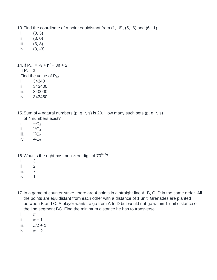13.Find the coordinate of a point equidistant from (1, -6), (5, -6) and (6, -1).

- *i. (0, 3)*
- *ii. (3, 0)*
- *iii. (3, 3)*
- *iv. (3, -3)*

```
14. If P_{k+1} = P_k + n^2 + 3n + 2If P_1 = 2Find the value of P_{100}i. 34340
```
- *ii. 343400*
- *iii. 340000*
- *iv. 343450*
- 15.Sum of 4 natural numbers (p, q, r, s) is 20. How many such sets (p, q, r, s) of 4 numbers exist?
	- *i. <sup>19</sup>C<sup>2</sup>*
	- *ii. <sup>19</sup>C<sup>3</sup>*
	- *iii.*  ${}^{20}C_2$
	- *iv. <sup>20</sup>C<sup>3</sup>*

16. What is the rightmost non-zero digit of  $70^{2016}$ ?

- *i. 3*
- *ii. 2*
- *iii. 7*
- *iv. 1*
- 17.In a game of counter-strike, there are 4 points in a straight line A, B, C, D in the same order. All the points are equidistant from each other with a distance of 1 unit. Grenades are planted between B and C. A player wants to go from A to D but would not go within 1-unit distance of the line segment BC. Find the minimum distance he has to transverse.
	- *i. π*
	- *ii. π + 1*
	- *iii. π/2 + 1*
	- *iv. π + 2*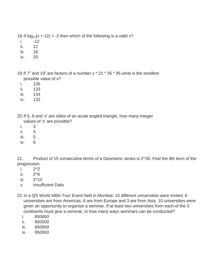18. If  $log_{0.5}(x + 12) > -2$  then which of the following is a valid x?

- *i. -12*
- *ii. 12*
- *iii. 16*
- *iv. 20*

19. If  $7^3$  and 19<sup>2</sup> are factors of a number x  $*$  21  $*$  35  $*$  95 what is the smallest possible value of x?

- *i. 135*
- *ii. 133*
- *iii. 134*
- *iv. 132*

20.If 5, 8 and 'x' are sides of an acute angled triangle, how many integer

- values of 'x' are possible?
- *i. 3*
- *ii. 4*
- *iii. 5*
- *iv. 6*

21. Product of 15 consecutive terms of a Geometric series is 2^30. Find the 8th term of the progression.

- *i. 2^2*
- *ii. 2^6*
- *iii. 2^10*
- *v. Insufficient Data*
- 22.In a QS World MBA Tour Event held in Mumbai, 15 different universities were invited. 6 universities are from Americas, 6 are from Europe and 3 are from Asia. 10 universities were given an opportunity to organize a seminar. If at least two universities from each of the 3 continents must give a seminar, in how many ways seminars can be conducted?
	- *i. 850850*
	- *ii. 850000*
	- *iii. 850900*
	- *iv. 850950*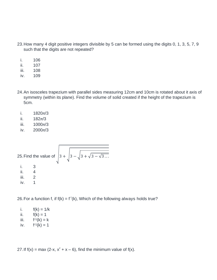- 23.How many 4 digit positive integers divisible by 5 can be formed using the digits 0, 1, 3, 5, 7, 9 such that the digits are not repeated?
	- *i. 106*
	- *ii. 107*
	- *iii. 108*
	- *iv. 109*
- 24.An isosceles trapezium with parallel sides measuring 12cm and 10cm is rotated about it axis of symmetry (within its plane). Find the volume of solid created if the height of the trapezium is 5cm.
	- *i. 1820π/3*
	- *ii. 182π/3*
	- *iii. 1000π/3*
	- *iv. 2000π/3*

25. Find the value of 
$$
\sqrt{3 + \sqrt{3 - \sqrt{3} \dots}}
$$
  
\ni. 3  
\nii. 4  
\niii. 2  
\niv. 1

26. For a function f, if  $f(k) = f^1(k)$ , Which of the following always holds true?

| Τ.   | $f(k) = 1/k$    |
|------|-----------------|
| Ш.   | $f(k) = 1$      |
| III. | $f^{-1}(k) = k$ |
|      |                 |

*iv. f -1 (k) = 1*

27. If  $f(x) = \max(2-x, x^2 + x - 6)$ , find the minimum value of  $f(x)$ .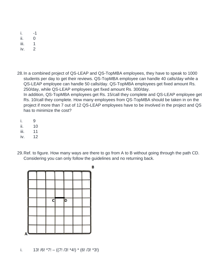- *i. -1*
- *ii. 0*
- *iii. 1*
- *iv. 2*

28.In a combined project of QS-LEAP and QS-TopMBA employees, they have to speak to 1000 students per day to get their reviews. QS-TopMBA employee can handle 40 calls/day while a QS-LEAP employee can handle 50 calls/day. QS-TopMBA employees get fixed amount Rs. 250/day, while QS-LEAP employees get fixed amount Rs. 300/day. In addition, QS-TopMBA employees get Rs. 15/call they complete and QS-LEAP employee get Rs. 10/call they complete. How many employees from QS-TopMBA should be taken in on the project if more than 7 out of 12 QS-LEAP employees have to be involved in the project and QS has to minimize the cost?

- *i. 9*
- *ii. 10*
- *iii. 11*
- *iv. 12*
- 29.Ref. to figure. How many ways are there to go from A to B without going through the path CD. Considering you can only follow the guidelines and no returning back.



*i. 13! /6! \*7! – ((7! /3! \*4!) \* (6! /3! \*3!)*